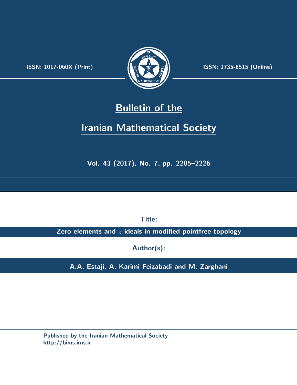.



**ISSN:** 1017-060X (Print)  $\left(\frac{1}{2}\right)$   $\frac{1}{2}$   $\frac{1}{2}$   $\frac{1}{2}$  **ISSN:** 1735-8515 (Online)

# **Bulletin of the**

# **Iranian Mathematical Society**

**Vol. 43 (2017), No. 7, pp. 2205–2226**

**Title:**

**Zero elements and** *z***-ideals in modified pointfree topology**

**Author(s):**

**A.A. Estaji, A. Karimi Feizabadi and M. Zarghani**

**Published by the Iranian Mathematical Society http://bims.ims.ir**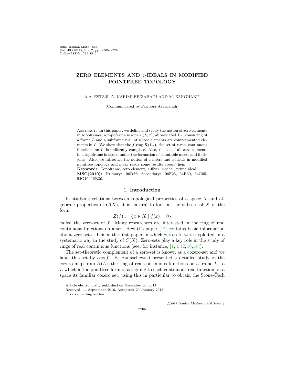Bull. Iranian Math. Soc. Vol. 43 (2017), No. 7, pp. 2205–2226 Online ISSN: 1735-8515

## **ZERO ELEMENTS AND** *z***-IDEALS IN MODIFIED POINTFREE TOPOLOGY**

A.A. ESTAJI, A. KARIMI FEIZABADI AND M. ZARGHANI*∗*

(Communicated by Fariborz Azarpanah)

ABSTRACT. In this paper, we define and study the notion of zero elements in topoframes; a topoframe is a pair  $(L, \tau)$ , abbreviated  $L_{\tau}$ , consisting of a frame *L* and a subframe *τ* all of whose elements are complemented elements in *L*. We show that the *f*-ring  $\mathcal{R}(L_{\tau})$ , the set of  $\tau$ -real continuous functions on *L*, is uniformly complete. Also, the set of all zero elements in a topoframe is closed under the formation of countable meets and finite joins. Also, we introduce the notion of *z*-filters and *z*-ideals in modified pointfree topology and make ready some results about them. **Keywords:** Topoframe, zero element, *z*-filter, *z*-ideal, prime ideal.

**MSC(2010):** Primary: 06D22; Secondary: 06F25, 54B30, 54G05, 54G10, 18B30.

## 1. **Introduction**

In studying relations between topological properties of a space *X* and algebraic properties of  $C(X)$ , it is natural to look at the subsets of X of the form

$$
Z(f) := \{ x \in X \mid f(x) = 0 \}
$$

called the zero-set of *f*. Many researchers are interested in the ring of real continuous functions on a set. Hewitt's paper [\[17](#page-21-0)] contains basic information about zero-sets. This is the first paper in which zero-sets were exploited in a systematic way in the study of  $C(X)$ . Zero-sets play a key role in the study of rings of real continuous functions (see, for instance,  $[1, 4, 12, 16, 18]$  $[1, 4, 12, 16, 18]$  $[1, 4, 12, 16, 18]$  $[1, 4, 12, 16, 18]$  $[1, 4, 12, 16, 18]$  $[1, 4, 12, 16, 18]$  $[1, 4, 12, 16, 18]$  $[1, 4, 12, 16, 18]$  $[1, 4, 12, 16, 18]$  $[1, 4, 12, 16, 18]$ ).

The set-theoretic complement of a zero-set is known as a cozero-set and we label this set by  $\cos(f)$ . B. Banaschewski presented a detailed study of the cozero map from  $\mathcal{R}(L)$ , the ring of real continuous functions on a frame L, to *L* which is the pointfree form of assigning to each continuous real function on a space its familiar cozero set, using this in particular to obtain the Stone-Čech

*⃝*c 2017 Iranian Mathematical Society

Article electronically published on December 30, 2017.

Received: 11 September 2016, Accepted: 20 January 2017.

*<sup>∗</sup>*Corresponding author.

<sup>2205</sup>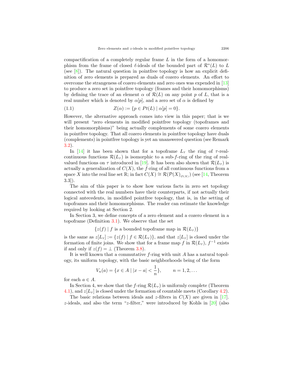compactification of a completely regular frame *L* in the form of a homomorphism from the frame of closed *ℓ*-ideals of the bounded part of *R<sup>∗</sup>* (*L*) to *L* (see  $[8]$  $[8]$ ). The natural question in point free topology is how an explicit definition of zero elements is prepared as duals of cozero elements. An effort to overcome the strangeness of cozero elements and zero ones was expended in [[13](#page-21-7)] to produce a zero set in pointfree topology (frames and their homomorphisms) by defining the trace of an element  $\alpha$  of  $\mathcal{R}(L)$  on any point p of L, that is a real number which is denoted by  $\alpha[p]$ , and a zero set of  $\alpha$  is defined by

<span id="page-2-0"></span>(1.1) 
$$
Z(\alpha) := \{ p \in Pt(L) \mid \alpha[p] = 0 \}.
$$

However, the alternative approach comes into view in this paper; that is we will present "zero elements in modified pointfree topology (topoframes and their homomorphisms)" being actually complements of some cozero elements in pointfree topology. That all cozero elements in pointfree topology have duals (complements) in pointfree topology is yet an unanswered question (see Remark [3.2\)](#page-6-0).

In [\[14](#page-21-8)] it has been shown that for a topoframe  $L_{\tau}$  the ring of  $\tau$ -realcontinuous functions  $\mathcal{R}(L_{\tau})$  is isomorphic to a sub-*f*-ring of the ring of realvalued functions on  $\tau$  introduced in [[19\]](#page-21-9). It has been also shown that  $\mathcal{R}(L_{\tau})$  is actually a generalization of  $C(X)$ , the *f*-ring of all continuous functions from a space *X* into the real line set  $\mathbb{R}$ ; in fact  $C(X) \cong \mathcal{R}(\mathcal{P}(X)_{\mathcal{O}(X)})$  (see [\[14](#page-21-8), Theorem 3.3]).

The aim of this paper is to show how various facts in zero set topology connected with the real numbers have their counterparts, if not actually their logical antecedents, in modified pointfree topology, that is, in the setting of topoframes and their homomorphisms. The reader can estimate the knowledge required by looking at Section 2.

In Section 3, we define concepts of a zero element and a cozero element in a topoframe (Definition [3.1\)](#page-6-1). We observe that the set

 $\{z(f) | f$  is a bounded topoframe map in  $\mathcal{R}(L_{\tau})\}$ 

is the same as  $z[L_{\tau}] := \{z(f) | f \in \mathcal{R}(L_{\tau})\}$ , and that  $z[L_{\tau}]$  is closed under the formation of finite joins. We show that for a frame map  $f$  in  $\mathcal{R}(L_{\tau})$ ,  $f^{-1}$  exists if and only if  $z(f) = \perp$  (Theorem [3.8](#page-11-0)).

It is well known that a commutative *f*-ring with unit *A* has a natural topology, its uniform topology, with the basic neighborhoods being of the form

$$
V_n(a) = \{x \in A \mid |x - a| < \frac{1}{n}\}, \qquad n = 1, 2, \dots
$$

for each  $a \in A$ .

In Section 4, we show that the *f*-ring  $\mathcal{R}(L_{\tau})$  is uniformly complete (Theorem [4.1\)](#page-13-0), and  $z[L_{\tau}]$  is closed under the formation of countable meets (Corollary [4.2\)](#page-14-0).

The basic relations between ideals and *z*-filters in  $C(X)$  are given in [[17\]](#page-21-0). *z*-ideals, and also the term "*z*-filter," were introduced by Kohls in [[20\]](#page-21-10) (also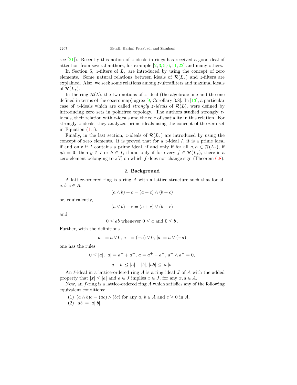see [\[21](#page-21-11)]). Recently this notion of *z*-ideals in rings has received a good deal of attention from several authors, for example  $[2, 3, 5, 6, 11, 22]$  $[2, 3, 5, 6, 11, 22]$  $[2, 3, 5, 6, 11, 22]$  $[2, 3, 5, 6, 11, 22]$  $[2, 3, 5, 6, 11, 22]$  $[2, 3, 5, 6, 11, 22]$  $[2, 3, 5, 6, 11, 22]$  $[2, 3, 5, 6, 11, 22]$  $[2, 3, 5, 6, 11, 22]$  $[2, 3, 5, 6, 11, 22]$  $[2, 3, 5, 6, 11, 22]$  $[2, 3, 5, 6, 11, 22]$  $[2, 3, 5, 6, 11, 22]$  and many others.

In Section 5, *z*-filters of  $L<sub>\tau</sub>$  are introduced by using the concept of zero elements. Some natural relations between ideals of  $\mathcal{R}(L_{\tau})$  and *z*-filters are explained. Also, we seek some relations among *z*-ultrafilters and maximal ideals of  $\mathcal{R}(L_\tau)$ .

In the ring  $\mathcal{R}(L)$ , the two notions of *z*-ideal (the algebraic one and the one defined in terms of the cozero map) agree [\[9](#page-21-18), Corollary 3.8]. In [[13\]](#page-21-7), a particular case of *z*-ideals which are called *strongly z*-ideals of  $\mathcal{R}(L)$ , were defined by introducing zero sets in pointfree topology. The authors studied strongly *z*ideals, their relation with *z*-ideals and the role of spatiality in this relation. For strongly *z*-ideals, they analyzed prime ideals using the concept of the zero set in Equation  $(1.1)$  $(1.1)$  $(1.1)$ .

Finally, in the last section, *z*-ideals of  $\mathcal{R}(L_\tau)$  are introduced by using the concept of zero elements. It is proved that for a *z*-ideal *I*, it is a prime ideal if and only if *I* contains a prime ideal, if and only if for all  $g, h \in \mathcal{R}(L_{\tau})$ , if  $gh = 0$ , then  $g \in I$  or  $h \in I$ , if and only if for every  $f \in \mathcal{R}(L_{\tau})$ , there is a zero-element belonging to  $z[I]$  on which  $f$  does not change sign (Theorem [6.8\)](#page-19-0).

#### 2. **Background**

A lattice-ordered ring is a ring *A* with a lattice structure such that for all  $a, b, c \in A$ 

$$
(a \wedge b) + c = (a + c) \wedge (b + c)
$$

or, equivalently,

$$
(a \vee b) + c = (a + c) \vee (b + c)
$$

and

$$
0 \leq ab
$$
 whenever  $0 \leq a$  and  $0 \leq b$ .

Further, with the definitions

$$
a^{+} = a \vee 0, a^{-} = (-a) \vee 0, |a| = a \vee (-a)
$$

one has the rules

$$
0 \le |a|, |a| = a^+ + a^-, a = a^+ - a^-, a^+ \wedge a^- = 0,
$$
  

$$
|a + b| \le |a| + |b|, |ab| \le |a||b|.
$$

An *ℓ*-ideal in a lattice-ordered ring *A* is a ring ideal *J* of *A* with the added property that  $|x| \leq |a|$  and  $a \in J$  implies  $x \in J$ , for any  $x, a \in A$ .

Now, an *f*-ring is a lattice-ordered ring *A* which satisfies any of the following equivalent conditions:

- (1)  $(a \wedge b)c = (ac) \wedge (bc)$  for any  $a, b \in A$  and  $c \geq 0$  in A.
- $(2) |ab| = |a||b|.$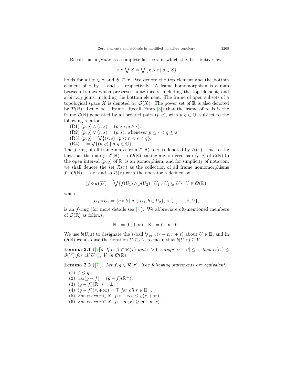Recall that a *frame* is a complete lattice  $\tau$  in which the distributive law

$$
x \wedge \bigvee S = \bigvee \{x \wedge s \mid s \in S\}
$$

holds for all  $x \in \tau$  and  $S \subseteq \tau$ . We denote the top element and the bottom element of  $\tau$  by  $\top$  and  $\bot$ , respectively. A frame homomorphism is a map between frames which preserves finite meets, including the top element, and arbitrary joins, including the bottom element. The frame of open subsets of a topological space X is denoted by  $\mathcal{O}(X)$ . The power set of R is also denoted by  $P(\mathbb{R})$ . Let  $\tau$  be a frame. Recall (from [[8\]](#page-21-6)) that the frame of reals is the frame  $\mathcal{L}(\mathbb{R})$  generated by all ordered pairs  $(p, q)$ , with  $p, q \in \mathbb{Q}$ , subject to the following relations:

- $(R1)$   $(p,q) \wedge (r,s) = (p \vee r, q \wedge s).$
- (R2)  $(p, q) \vee (r, s) = (p, s)$ , whenever  $p \le r < q \le s$ .
- $(R3)$   $(p, q) = \sqrt{(r, s) | p < r < s < q}.$
- $(R4)$  **⊤** =  $\bigvee$ { $(p,q) | p, q \in \mathbb{Q}$ }.

The *f*-ring of all frame maps from  $\mathcal{L}(\mathbb{R})$  to  $\tau$  is denoted by  $\mathcal{R}(\tau)$ . Due to the fact that the map  $j: \mathcal{L}(\mathbb{R}) \longrightarrow \mathcal{O}(\mathbb{R})$ , taking any ordered pair  $(p, q)$  of  $\mathcal{L}(\mathbb{R})$  to the open interval  $(p, q)$  of  $\mathbb{R}$ , is an isomorphism, and for simplicity of notation, we shall denote the set  $\mathcal{R}(\tau)$  as the collection of all frame homomorphisms  $f: \mathcal{O}(\mathbb{R}) \longrightarrow \tau$ , and so  $\mathcal{R}(\tau)$  with the operator  $\diamond$  defined by

$$
(f \diamond g)(U) = \bigvee \{ f(U_1) \wedge g(U_2) \mid U_1 \diamond U_2 \subseteq U \}, U \in \mathcal{O}(\mathbb{R}),
$$

where

$$
U_1 \diamond U_2 = \{a \diamond b \mid a \in U_1, b \in U_2\}, \diamond \in \{+, \cdot, \land, \lor\},\
$$

is an *f*-ring (for more details see [[7\]](#page-21-19)). We abbreviate oft-mentioned members of  $\mathcal{O}(\mathbb{R})$  as follows:

$$
\mathbb{R}^+ = (0, +\infty), \ \mathbb{R}^- = (-\infty, 0).
$$

We use  $b(U, \varepsilon)$  to designate the  $\varepsilon$ -ball  $\bigvee_{r \in U} (r - \varepsilon, r + \varepsilon)$  about  $U \in \mathbb{R}$ , and in  $O(\mathbb{R})$  we also use the notation  $U \subseteq_{\varepsilon} V$  to mean that  $b(U, \varepsilon) \subseteq V$ .

<span id="page-4-1"></span>**Lemma 2.1** ([[7\]](#page-21-19)). *If*  $\alpha, \beta \in \mathcal{R}(\tau)$  *and*  $\varepsilon > 0$  *satisfy*  $|\alpha - \beta| \leq \varepsilon$ *, then*  $\alpha(U) \leq$  $\beta(V)$  *for all*  $U \subseteq_{\varepsilon} V$  *in*  $\mathcal{O}(\mathbb{R})$ *.* 

<span id="page-4-0"></span>**Lemma 2.2** ([\[7](#page-21-19)]). Let  $f, g \in \mathcal{R}(\tau)$ . The following statements are equivalent.

- (1)  $f \leq g$ .
- (2)  $\cos(g f) = (g f)(\mathbb{R}^+).$
- $(3)$   $(g f)(\mathbb{R}^-) = \perp$ .
- $(4)$   $(g f)(r, +\infty) = \top$  *for all*  $r \in \mathbb{R}^-$ .
- (5) *For every*  $r \in \mathbb{R}$ ,  $f(r, +\infty) \leq g(r, +\infty)$ .
- (6) *For every*  $r \in \mathbb{R}$ ,  $f(-\infty, r) \geq g(-\infty, r)$ .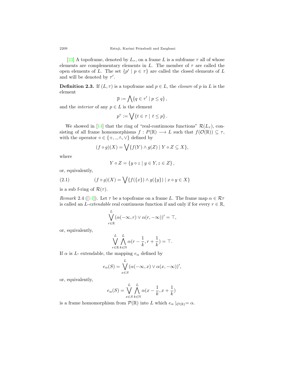[[23\]](#page-21-20) A topoframe, denoted by  $L_{\tau}$ , on a frame L is a subframe  $\tau$  all of whose elements are complementary elements in  $L$ . The member of  $\tau$  are called the open elements of *L*. The set  $\{p' \mid p \in \tau\}$  are called the closed elements of *L* and will be denoted by *τ ′* .

**Definition 2.3.** If  $(L, \tau)$  is a topoframe and  $p \in L$ , the *closure* of *p* in *L* is the element

$$
\overline{p} := \bigwedge \{ q \in \tau' \mid p \leq q \},
$$

and the *interior* of any  $p \in L$  is the element

$$
p^{\circ} := \bigvee \{ t \in \tau \mid t \leq p \}.
$$

We showed in [\[14](#page-21-8)] that the ring of "real-continuous functions"  $\mathcal{R}(L_{\tau})$ , consisting of all frame homomorphisms  $f : P(\mathbb{R}) \longrightarrow L$  such that  $f(\mathcal{O}(\mathbb{R})) \subseteq \tau$ , with the operator  $\diamond \in \{+,.,\wedge,\vee\}$  defined by

$$
(f \diamond g)(X) = \bigvee \{ f(Y) \wedge g(Z) \mid Y \diamond Z \subseteq X \},\
$$

where

<span id="page-5-0"></span>
$$
Y \diamond Z = \{ y \diamond z \mid y \in Y, z \in Z \},\
$$

or, equivalently,

(2.1) 
$$
(f \diamond g)(X) = \bigvee \{f(\{x\}) \wedge g(\{y\}) \mid x \diamond y \in X\}
$$

is a sub f-ring of  $\mathcal{R}(\tau)$ .

<span id="page-5-1"></span>*Remark* 2.4 ([[14\]](#page-21-8)). Let  $\tau$  be a topoframe on a frame *L*. The frame map  $\alpha \in \mathcal{R}\tau$ is called an *L*-*extendable* real continuous function if and only if for every  $r \in \mathbb{R}$ ,

$$
\bigvee_{r \in \mathbb{R}}^{L} (\alpha(-\infty, r) \vee \alpha(r, -\infty))' = \top,
$$

or, equivalently,

$$
\bigvee_{r\in\mathbb{R}}^{L}\bigwedge_{k\in\mathbb{N}}^{L}\alpha(r-\frac{1}{k},r+\frac{1}{k})=\top.
$$

If  $\alpha$  is *L*- extendable, the mapping  $e_{\alpha}$  defined by

$$
e_{\alpha}(S) = \bigvee_{x \in S}^{L} (\alpha(-\infty, x) \vee \alpha(x, -\infty))',
$$

or, equivalently,

$$
e_{\alpha}(S) = \bigvee_{x \in S}^{L} \bigwedge_{k \in \mathbb{N}}^{L} \alpha(x - \frac{1}{k}, x + \frac{1}{k})
$$

is a frame homomorphism from  $\mathcal{P}(\mathbb{R})$  into *L* which  $e_{\alpha} |_{\mathcal{O}(\mathbb{R})} = \alpha$ .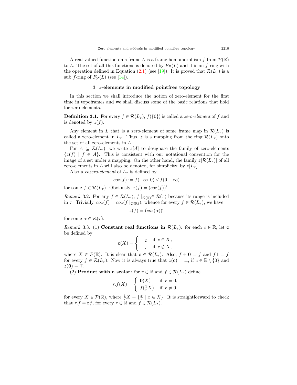A real-valued function on a frame *L* is a frame homomorphism f from  $\mathcal{P}(\mathbb{R})$ to *L*. The set of all this functions is denoted by  $F_P(L)$  and it is an *f*-ring with the operation defined in Equation ([2.1\)](#page-5-0) (see [\[19](#page-21-9)]). It is proved that  $\mathcal{R}(L_{\tau})$  is a sub *f*-ring of  $F_{\mathcal{P}}(L)$  (see [\[14](#page-21-8)]).

#### 3. *z***-elements in modified pointfree topology**

In this section we shall introduce the notion of zero-element for the first time in topoframes and we shall discuss some of the basic relations that hold for zero-elements.

<span id="page-6-1"></span>**Definition 3.1.** For every  $f \in \mathcal{R}(L_{\tau}), f(\{0\})$  is called a *zero-element* of *f* and is denoted by  $z(f)$ .

Any element in *L* that is a zero-element of some frame map in  $\mathcal{R}(L_{\tau})$  is called a zero-element in  $L_{\tau}$ . Thus, *z* is a mapping from the ring  $\mathcal{R}(L_{\tau})$  onto the set of all zero-elements in *L*.

For  $A \subseteq \mathcal{R}(L_{\tau})$ , we write  $z[A]$  to designate the family of zero-elements  $\{z(f) \mid f \in A\}$ . This is consistent with our notational convention for the image of a set under a mapping. On the other hand, the family  $z[\mathcal{R}(L_{\tau})]$  of all zero-elements in *L* will also be denoted, for simplicity, by  $z[L_{\tau}]$ .

Also a *cozero-element* of  $L_{\tau}$  is defined by

$$
coz(f) := f(-\infty, 0) \lor f(0, +\infty)
$$

for some  $f \in \mathcal{R}(L_{\tau})$ . Obviously,  $z(f) = (coz(f))'$ .

<span id="page-6-0"></span>*Remark* 3.2. For any  $f \in \mathcal{R}(L_{\tau})$ ,  $f |_{\mathcal{O}(\mathbb{R})} \in \mathcal{R}(\tau)$  because its range is included in  $\tau$ . Trivially,  $\cos(f) = \cos(f \mid_{\mathcal{O}(\mathbb{R})})$ , whence for every  $f \in \mathcal{R}(L_{\tau})$ , we have

$$
z(f) = (cos(\alpha))'
$$

for some  $\alpha \in \mathcal{R}(\tau)$ .

*Remark* 3.3. (1) **Constant real functions in**  $\mathcal{R}(L_{\tau})$ : for each  $c \in \mathbb{R}$ , let **c** be defined by

$$
\mathbf{c}(X) = \begin{cases} \top_L & \text{if } c \in X, \\ \bot_L & \text{if } c \notin X, \end{cases}
$$

where  $X \in \mathcal{P}(\mathbb{R})$ . It is clear that  $\mathbf{c} \in \mathcal{R}(L_{\tau})$ . Also,  $f + \mathbf{0} = f$  and  $f\mathbf{1} = f$ for every  $f \in \mathcal{R}(L_{\tau})$ . Now it is always true that  $z(\mathbf{c}) = \bot$ , if  $c \in \mathbb{R} \setminus \{0\}$  and *z*(**0**) = *⊤*.

(2) **Product with a scalar:** for  $r \in \mathbb{R}$  and  $f \in \mathcal{R}(L_{\tau})$  define

$$
r.f(X)=\left\{\begin{array}{ll} \textbf{0}(X) & \text{ if } r=0,\\ f(\frac{1}{r}X) & \text{ if } r\neq 0, \end{array}\right.
$$

for every  $X \in \mathcal{P}(\mathbb{R})$ , where  $\frac{1}{r}X = \{\frac{x}{r} \mid x \in X\}$ . It is straightforward to check that  $r.f = \mathbf{r}f$ , for every  $r \in \mathbb{R}$  and  $f \in \mathcal{R}(L_\tau)$ .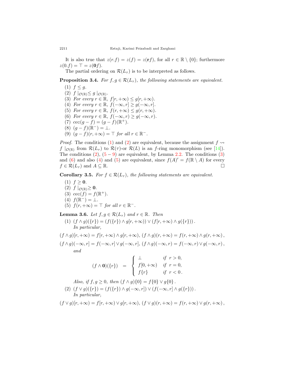It is also true that  $z(r.f) = z(f) = z(rf)$ , for all  $r \in \mathbb{R} \setminus \{0\}$ ; furthermore  $z(0.f) = \top = z(0.f).$ 

The partial ordering on  $\mathcal{R}(L_{\tau})$  is to be interpreted as follows.

**Proposition 3.4.** *For*  $f, g \in \mathcal{R}(L_{\tau})$ *, the following statements are equivalent.* 

<span id="page-7-6"></span><span id="page-7-4"></span><span id="page-7-2"></span><span id="page-7-1"></span><span id="page-7-0"></span>(1)  $f \leq q$ .  $(2)$   $f \mid_{\mathcal{O}(\mathbb{R})} \leq g \mid_{\mathcal{O}(\mathbb{R})}$ . (3) *For every*  $r \in \mathbb{R}$ ,  $f(r, +\infty) \leq g(r, +\infty)$ . (4) *For every*  $r \in \mathbb{R}$ ,  $f(-\infty, r] \geq g(-\infty, r]$ . (5) *For every*  $r \in \mathbb{R}$ ,  $f(r, +\infty) \leq g(r, +\infty)$ . (6) *For every*  $r \in \mathbb{R}$ ,  $f(-\infty, r) \geq g(-\infty, r)$ . (7)  $\cos(g - f) = (g - f)(\mathbb{R}^+).$  $(8)$   $(g - f)(\mathbb{R}^-) = \perp$ .  $(9)$   $(g - f)(r, +\infty) = \top$  *for all*  $r \in \mathbb{R}^-$ .

<span id="page-7-5"></span><span id="page-7-3"></span>*Proof.* The conditions ([1\)](#page-7-0) and [\(2](#page-7-1)) are equivalent, because the assignment  $f \rightarrow$ *f*  $|o(\mathbb{R})$  from  $\mathcal{R}(L_{\tau})$  to  $\mathcal{R}(\tau)$ -or  $\mathcal{R}(L)$  is an *f*-ring monomorphism (see [[14\]](#page-21-8)). The conditions  $(2)$  $(2)$ ,  $(5-9)$  $(5-9)$  $(5-9)$  $(5-9)$  are equivalent, by Lemma [2.2](#page-4-0). The conditions  $(3)$  $(3)$ and ([6\)](#page-7-5) and also [\(4](#page-7-6)) and [\(5](#page-7-2)) are equivalent, since  $f(A)' = f(\mathbb{R} \setminus A)$  for every  $f \in \mathcal{R}(L_{\tau})$  and  $A \subseteq \mathbb{R}$ .

<span id="page-7-10"></span>**Corollary 3.5.** *For*  $f \in \mathcal{R}(L_{\tau})$ *, the following statements are equivalent.* 

(1)  $f \ge 0$ .  $(2)$   $f |_{\mathcal{O}(\mathbb{R})} \geq 0$ . (3)  $\cos(f) = f(\mathbb{R}^+).$  $(f(\mathbb{R}^-)) = \perp$ .  $f(r, +\infty) = \top$  *for all*  $r \in \mathbb{R}^-$ .

<span id="page-7-9"></span>**Lemma 3.6.** *Let*  $f, g \in \mathcal{R}(L_{\tau})$  *and*  $r \in \mathbb{R}$ *. Then* 

<span id="page-7-7"></span>(1) 
$$
(f \wedge g)(\{r\}) = (f(\{r\}) \wedge g[r, +\infty)) \vee (f[r, +\infty) \wedge g(\{r\})).
$$
  
In particular,

 $(f \wedge g)[r,+\infty) = f[r,+\infty) \wedge g[r,+\infty), (f \wedge g)(r,+\infty) = f(r,+\infty) \wedge g(r,+\infty),$  $(f \wedge q)(-\infty, r] = f(-\infty, r] \vee q(-\infty, r], (f \wedge q)(-\infty, r) = f(-\infty, r) \vee q(-\infty, r),$ *and*

$$
(f \wedge \mathbf{0})(\{r\}) = \begin{cases} \perp & \text{if } r > 0, \\ f[0, +\infty) & \text{if } r = 0, \\ f\{r\} & \text{if } r < 0. \end{cases}
$$

*Also, if*  $f, q \ge 0$ *, then*  $(f \wedge q)\{0\} = f\{0\} \vee q\{0\}$ .

<span id="page-7-8"></span>(2)  $(f \vee g)(\{r\}) = (f(\{r\}) \wedge g(-\infty, r]) \vee (f(-\infty, r] \wedge g(\{r\})).$ *In particular,*

 $(f \vee q)[r, +\infty) = f[r, +\infty) \vee q[r, +\infty), (f \vee q)(r, +\infty) = f(r, +\infty) \vee q(r, +\infty),$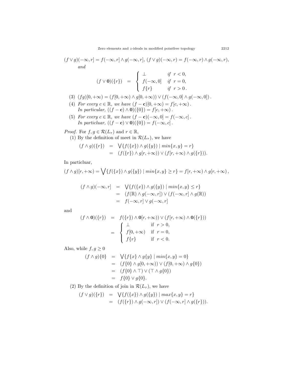$$
(f \vee g)(-\infty, r] = f(-\infty, r] \wedge g(-\infty, r], (f \vee g)(-\infty, r) = f(-\infty, r) \wedge g(-\infty, r),
$$
  
and

$$
(f \vee \mathbf{0})(\{r\}) = \begin{cases} \perp & \text{if } r < 0, \\ f(-\infty, 0] & \text{if } r = 0, \\ f\{r\} & \text{if } r > 0. \end{cases}
$$

- (3)  $(fg)[0, +\infty) = (f[0, +\infty) \land g[0, +\infty)) \lor (f(-\infty, 0] \land g(-\infty, 0])$ .
- (4) *For every*  $c \in \mathbb{R}$ *, we have*  $(f c)[0, +\infty) = f[c, +\infty)$ *.*  $In particular, ((f - c) \wedge 0)(\{0\}) = f[c, +\infty).$
- (5) For every  $c \in \mathbb{R}$ , we have  $(f c)(-\infty, 0] = f(-\infty, c]$ . *In particluar,*  $((f - c) \vee 0)(\{0\}) = f(-\infty, c]$ .

*Proof.* For  $f, g \in \mathcal{R}(L_{\tau})$  and  $r \in \mathbb{R}$ ,

(1) By the definition of meet in  $\mathcal{R}(L_{\tau})$ , we have

$$
(f \wedge g)(\{r\}) = \sqrt{\{f(\{x\}) \wedge g(\{y\}) \mid min\{x, y\} = r\}} = (f(\{r\}) \wedge g[r, +\infty)) \vee (f[r, +\infty) \wedge g(\{r\})).
$$

In particluar,

$$
(f \wedge g)[r, +\infty) = \bigvee \{f(\{x\}) \wedge g(\{y\}) \mid min\{x, y\} \ge r\} = f[r, +\infty) \wedge g[r, +\infty),
$$

$$
(f \wedge g)(-\infty, r] = \sqrt{\{f(\{x\}) \wedge g(\{y\}) \mid min\{x, y\} \le r\}}
$$
  
= 
$$
(f(\mathbb{R}) \wedge g(-\infty, r]) \vee (f(-\infty, r] \wedge g(\mathbb{R}))
$$
  
= 
$$
f(-\infty, r] \vee g(-\infty, r]
$$

and

$$
(f \wedge \mathbf{0})(\{r\}) = f(\{r\}) \wedge \mathbf{0}(r, +\infty)) \vee (f[r, +\infty) \wedge \mathbf{0}(\{r\}))
$$

$$
= \begin{cases} \perp & \text{if } r > 0, \\ f[0, +\infty) & \text{if } r = 0, \\ f\{r\} & \text{if } r < 0. \end{cases}
$$

Also, while  $f, g \geq 0$ 

$$
(f \wedge g)\{0\} = \bigvee \{f\{x\} \wedge g\{y\} \mid min\{x, y\} = 0\}
$$
  
= 
$$
(f\{0\} \wedge g[0, +\infty)) \vee (f[0, +\infty) \wedge g\{0\})
$$
  
= 
$$
(f\{0\} \wedge \top) \vee (\top \wedge g\{0\})
$$
  
= 
$$
f\{0\} \vee g\{0\}.
$$

(2) By the definition of join in  $\mathcal{R}(L_{\tau})$ , we have

$$
(f \vee g)(\{r\}) = \sqrt{\{f(\{x\}) \wedge g(\{y\}) \mid max\{x, y\}} = r}
$$
  
= 
$$
(f(\{r\}) \wedge g(-\infty, r]) \vee (f(-\infty, r] \wedge g(\{r\})).
$$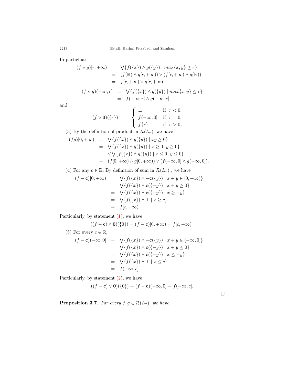In particluar,

$$
(f \vee g)[r, +\infty) = \sqrt{\{f(\{x\}) \wedge g(\{y\}) \mid \max\{x, y\} \ge r\}}
$$
  
\n
$$
= (f(\mathbb{R}) \wedge g[r, +\infty)) \vee (f[r, +\infty) \wedge g(\mathbb{R}))
$$
  
\n
$$
= f[r, +\infty) \vee g[r, +\infty),
$$
  
\n
$$
(f \vee g)(-\infty, r] = \sqrt{\{f(\{x\}) \wedge g(\{y\}) \mid \max\{x, y\} \le r\}}
$$

= *f*(*−∞, r*] *∧ g*(*−∞, r*]

and

$$
(f \vee \mathbf{0})(\{r\}) = \begin{cases} \perp & \text{if } r < 0, \\ f(-\infty, 0] & \text{if } r = 0, \\ f\{r\} & \text{if } r > 0. \end{cases}
$$

(3) By the definition of product in  $\mathcal{R}(L_{\tau})$ , we have

$$
(fg)[0, +\infty) = \sqrt{f(\{x\}) \land g(\{y\}) \mid xy \ge 0}
$$
  
=  $\sqrt{f(\{x\}) \land g(\{y\}) \mid x \ge 0, y \ge 0}$   
 $\lor \sqrt{f(\{x\}) \land g(\{y\}) \mid x \le 0, y \le 0}$   
=  $(f[0, +\infty) \land g[0, +\infty)) \lor (f(-\infty, 0] \land g(-\infty, 0]).$ 

(4) For any  $c \in \mathbb{R}$ , By definition of sum in  $\mathcal{R}(L_{\tau})$ , we have

$$
(f - c)[0, +\infty) = \sqrt{f(\{x\}) \wedge -c(\{y\}) | x + y \in [0, +\infty) } = \sqrt{f(\{x\}) \wedge c(\{-y\}) | x + y \ge 0} = \sqrt{f(\{x\}) \wedge c(\{-y\}) | x \ge -y} = \sqrt{f(\{x\}) \wedge \top | x \ge c} = f[c, +\infty).
$$

Particularly, by statement ([1\)](#page-7-7), we have

$$
((f - \mathbf{c}) \wedge \mathbf{0})(\{0\}) = (f - \mathbf{c})[0, +\infty) = f[c, +\infty).
$$

(5) For every 
$$
c \in \mathbb{R}
$$
,  
\n
$$
(f - \mathbf{c})(-\infty, 0) = \sqrt{\{f(\{x\}) \land -\mathbf{c}(\{y\}) \mid x + y \in (-\infty, 0]\}}
$$
\n
$$
= \sqrt{\{f(\{x\}) \land \mathbf{c}(\{-y\}) \mid x + y \le 0\}}
$$
\n
$$
= \sqrt{\{f(\{x\}) \land \mathbf{c}(\{-y\}) \mid x \le -y\}}
$$
\n
$$
= \sqrt{\{f(\{x\}) \land \top \mid x \le c\}}
$$
\n
$$
= f(-\infty, c].
$$

Particularly, by statement ([2\)](#page-7-8), we have

$$
((f - \mathbf{c}) \vee \mathbf{0})(\{0\}) = (f - \mathbf{c})(-\infty, 0) = f(-\infty, c].
$$

□

<span id="page-9-0"></span>**Proposition 3.7.** *For every*  $f, g \in \mathcal{R}(L_{\tau})$ *, we have*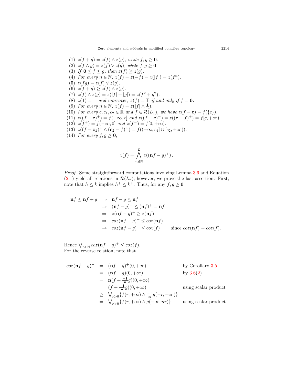<span id="page-10-1"></span><span id="page-10-0"></span>(1)  $z(f+g) = z(f) \land z(g)$ , while  $f, g \ge 0$ . (2)  $z(f \wedge g) = z(f) \vee z(g)$ , while  $f, g \ge 0$ . (3) *If*  $0 \le f \le g$ , then  $z(f) \ge z(g)$ . (4) *For every*  $n \in \mathbb{N}$ ,  $z(f) = z(-f) = z(|f|) = z(f^n)$ *.* (5)  $z(fg) = z(f) \vee z(g)$ . (6)  $z(f+g) \geq z(f) \wedge z(g)$ .  $(z)$   $z(f) \wedge z(g) = z(|f| + |g|) = z(f^2 + g^2).$ (8)  $z(1) = \perp$  *and moreover,*  $z(f) = \top$  *if and only if*  $f = 0$ *.* (9) *For every*  $n \in \mathbb{N}$ ,  $z(f) = z(|f| \wedge \frac{1}{n})$ *.* (10) *For every*  $c, c_1, c_2 \in \mathbb{R}$  and  $f \in \mathcal{R}(L_{\tau})$ , we have  $z(f - \mathbf{c}) = f(\{c\})$ .  $z((f - c)^+) = f(-\infty, c]$  and  $z((f - c)^-) = z((c - f)^+) = f[c, +\infty)$ . (12)  $z(f^+) = f(-\infty, 0]$  and  $z(f^-) = f[0, +\infty)$ . (13)  $z((f - c_1)^+ \wedge (c_2 - f)^+) = f((-\infty, c_1] \cup [c_2, +\infty)).$ (14) *For every*  $f, g \geq 0$ *,* 

$$
z(f) = \bigwedge_{n \in \mathbb{N}}^L z((\mathbf{n}f - g)^+).
$$

*Proof.* Some straightforward computations involving Lemma [3.6](#page-7-9) and Equation  $(2.1)$  $(2.1)$  yield all relations in  $\mathcal{R}(L_{\tau})$ ; however, we prove the last assertion. First, note that  $h \leq k$  implies  $h^+ \leq k^+$ . Thus, for any  $f, g \geq 0$ 

$$
\begin{aligned}\n\mathbf{n}f \le \mathbf{n}f + g &\Rightarrow \mathbf{n}f - g \le \mathbf{n}f \\
&\Rightarrow (\mathbf{n}f - g)^{+} \le (\mathbf{n}f)^{+} = \mathbf{n}f \\
&\Rightarrow z(\mathbf{n}f - g)^{+} \ge z(\mathbf{n}f) \\
&\Rightarrow \cos(\mathbf{n}f - g)^{+} \le \cos(\mathbf{n}f) \\
&\Rightarrow \cos(\mathbf{n}f - g)^{+} \le \cos(f) \qquad \text{since } \cos(\mathbf{n}f) = \cos(f).\n\end{aligned}
$$

Hence  $\bigvee_{n \in \mathbb{N}} \cos(\mathbf{n}f - g)^{+} \leq \cos(f).$ For the reverse relation, note that

$$
\cos(\mathbf{n}f - g)^+ = (\mathbf{n}f - g)^+(0, +\infty) \qquad \text{by Corollary 3.5}
$$
  
\n
$$
= (\mathbf{n}f - g)(0, +\infty) \qquad \text{by 3.6(2)}
$$
  
\n
$$
= \mathbf{n}(f + \frac{-1}{\mathbf{n}}g)(0, +\infty) \qquad \text{using scalar product}
$$
  
\n
$$
\geq (f + \frac{-1}{\mathbf{n}}g)(0, +\infty) \qquad \text{using scalar product}
$$
  
\n
$$
\geq \sqrt{\frac{r}{r>0}\{f(r, +\infty) \land g(-\infty, nr)\}} \qquad \text{using scalar product}
$$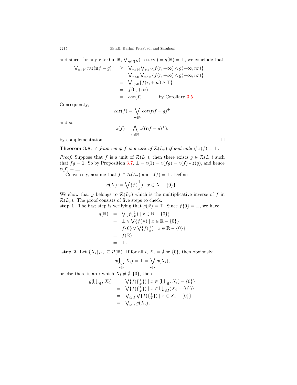and since, for any  $r > 0$  in  $\mathbb{R}$ ,  $\bigvee_{n \in \mathbb{N}} g(-\infty, nr) = g(\mathbb{R}) = \top$ , we conclude that

$$
\begin{array}{rcl}\n\bigvee_{n\in\mathbb{N}}\cos(\mathbf{nf}-g)^+ & \geq & \bigvee_{n\in\mathbb{N}}\bigvee_{r>0}\{f(r,+\infty)\wedge g(-\infty,nr)\} \\
& = & \bigvee_{r>0}\bigvee_{n\in\mathbb{N}}\{f(r,+\infty)\wedge g(-\infty,nr)\} \\
& = & \bigvee_{r>0}\{f(r,+\infty)\wedge\top\} \\
& = & f(0,+\infty) \\
& = & \cos(f) \qquad \text{by Corollary 3.5.}\n\end{array}
$$

Consequently,

$$
coz(f) = \bigvee_{n \in \mathbb{N}} coz(\mathbf{n}f - g)^+
$$

and so

$$
z(f) = \bigwedge_{n \in \mathbb{N}} z((\mathbf{n}f - g)^+),
$$

by complementation.  $\Box$ 

<span id="page-11-0"></span>**Theorem 3.8.** *A frame map f is a unit of*  $\mathcal{R}(L_{\tau})$  *if and only if*  $z(f) = \bot$ *.* 

*Proof.* Suppose that *f* is a unit of  $\mathcal{R}(L_{\tau})$ , then there exists  $g \in \mathcal{R}(L_{\tau})$  such that  $fg = 1$ . So by Proposition [3.7,](#page-9-0)  $\bot = z(1) = z(fg) = z(f) \vee z(g)$ , and hence  $z(f) = \perp$ .

Conversely, assume that  $f \in \mathcal{R}(L_{\tau})$  and  $z(f) = \bot$ . Define

$$
g(X) := \bigvee \{ f(\frac{1}{x}) \mid x \in X - \{0\} \}.
$$

We show that *g* belongs to  $\mathcal{R}(L_{\tau})$  which is the multiplicative inverse of *f* in  $\mathcal{R}(L_{\tau})$ . The proof consists of five steps to check:

**step 1.** The first step is verifying that  $g(\mathbb{R}) = \top$ . Since  $f\{0\} = \bot$ , we have

$$
g(\mathbb{R}) = \sqrt{f(\frac{1}{x}) \mid x \in \mathbb{R} - \{0\}} = \bot \vee \sqrt{f(\frac{1}{x}) \mid x \in \mathbb{R} - \{0\}} = f\{0\} \vee \sqrt{f(\frac{1}{x}) \mid x \in \mathbb{R} - \{0\}} = f(\mathbb{R}) = T.
$$

**step 2.** Let  $\{X_i\}_{i \in I} \subseteq \mathcal{P}(\mathbb{R})$ . If for all *i*,  $X_i = \emptyset$  or  $\{0\}$ , then obviously,

$$
g(\bigcup_{i\in I} X_i) = \bot = \bigvee_{i\in I} g(X_i),
$$

or else there is an *i* which  $X_i \neq \emptyset$ , {0}, then

$$
g(\bigcup_{i \in I} X_i) = \bigvee \{ f(\{\frac{1}{x}\}) \mid x \in (\bigcup_{i \in I} X_i) - \{0\} \}
$$
  
\n
$$
= \bigvee \{ f(\{\frac{1}{x}\}) \mid x \in \bigcup_{i \in I} (X_i - \{0\}) \}
$$
  
\n
$$
= \bigvee_{i \in I} \bigvee \{ f(\{\frac{1}{x}\}) \mid x \in X_i - \{0\} \}
$$
  
\n
$$
= \bigvee_{i \in I} g(X_i).
$$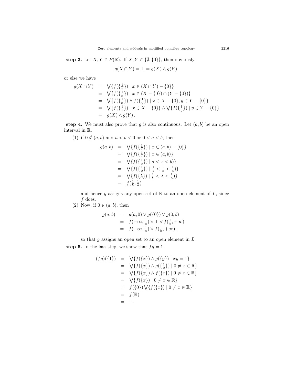**step 3.** Let  $X, Y \in P(\mathbb{R})$ . If  $X, Y \in \{\emptyset, \{0\}\}\$ , then obviously,

$$
g(X \cap Y) = \bot = g(X) \wedge g(Y),
$$

or else we have

$$
g(X \cap Y) = \bigvee \{f(\{\frac{1}{x}\}) \mid x \in (X \cap Y) - \{0\}\}\
$$
  
\n
$$
= \bigvee \{f(\{\frac{1}{x}\}) \mid x \in (X - \{0\}) \cap (Y - \{0\})\}\
$$
  
\n
$$
= \bigvee \{f(\{\frac{1}{x}\}) \wedge f(\{\frac{1}{y}\}) \mid x \in X - \{0\}, y \in Y - \{0\}\}\
$$
  
\n
$$
= \bigvee \{f(\{\frac{1}{x}\}) \mid x \in X - \{0\}\} \wedge \bigvee \{f(\{\frac{1}{y}\}) \mid y \in Y - \{0\}\}\
$$
  
\n
$$
= g(X) \wedge g(Y).
$$

**step 4.** We must also prove that  $g$  is also continuous. Let  $(a, b)$  be an open interval in R.

(1) if 
$$
0 \notin (a, b)
$$
 and  $a < b < 0$  or  $0 < a < b$ , then

$$
g(a,b) = \sqrt{\{f(\{\frac{1}{x}\}) \mid x \in (a,b) - \{0\}\}}
$$
  
\n
$$
= \sqrt{\{f(\{\frac{1}{x}\}) \mid x \in (a,b)\}}
$$
  
\n
$$
= \sqrt{\{f(\{\frac{1}{x}\}) \mid a < x < b\}}
$$
  
\n
$$
= \sqrt{\{f(\{\frac{1}{x}\}) \mid \frac{1}{b} < \frac{1}{x} < \frac{1}{a}\}}
$$
  
\n
$$
= \sqrt{\{f(\{\lambda\}) \mid \frac{1}{b} < \lambda < \frac{1}{a}\}}
$$
  
\n
$$
= f(\frac{1}{b}, \frac{1}{a})
$$

and hence  $g$  assigns any open set of  $\mathbb R$  to an open element of  $L$ , since *f* does.

(2) Now, if  $0 \in (a, b)$ , then

$$
g(a,b) = g(a,0) \lor g(\{0\}) \lor g(0,b)
$$
  
=  $f(-\infty, \frac{1}{a}) \lor \bot \lor f(\frac{1}{b}, +\infty)$   
=  $f(-\infty, \frac{1}{a}) \lor f(\frac{1}{b}, +\infty),$ 

so that *g* assigns an open set to an open element in *L*.

**step 5.** In the last step, we show that  $fg = 1$ .

$$
(fg)(\{1\}) = \sqrt{f(\{x\}) \land g(\{y\}) \mid xy = 1}
$$
  
=  $\sqrt{f(\{x\}) \land g(\{\frac{1}{x}\}) \mid 0 \neq x \in \mathbb{R}\}$   
=  $\sqrt{f(\{x\}) \land f(\{x\}) \mid 0 \neq x \in \mathbb{R}\}$   
=  $\sqrt{f(\{x\}) \mid 0 \neq x \in \mathbb{R}\}$   
=  $f(\{0\}) \sqrt{f(\{x\}) \mid 0 \neq x \in \mathbb{R}\}$   
=  $f(\mathbb{R})$   
= T.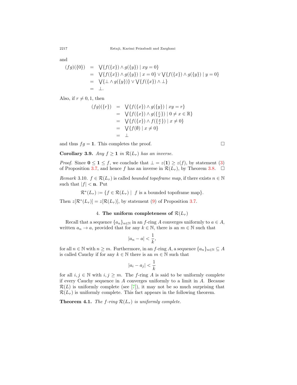and

$$
(fg)(\{0\}) = \bigvee \{f(\{x\}) \wedge g(\{y\}) \mid xy = 0\}
$$
  
=  $\bigvee \{f(\{x\}) \wedge g(\{y\}) \mid x = 0\} \vee \bigvee \{f(\{x\}) \wedge g(\{y\}) \mid y = 0\}$   
=  $\bigvee \{\perp \wedge g(\{y\})\} \vee \bigvee \{f(\{x\}) \wedge \perp\}$   
=  $\perp$ .

Also, if  $r \neq 0, 1$ , then

$$
(fg)(\{r\}) = \sqrt{\{f(\{x\}) \land g(\{y\}) \mid xy = r\}}= \sqrt{\{f(\{x\}) \land g(\{\frac{r}{x}\}) \mid 0 \neq x \in \mathbb{R}\}}= \sqrt{\{f(\{x\}) \land f(\{\frac{x}{r}\}) \mid x \neq 0\}}= \sqrt{\{f(\emptyset) \mid x \neq 0\}}= \perp
$$

and thus  $fg = 1$ . This completes the proof.  $\Box$ 

**Corollary 3.9.** *Any*  $f \geq 1$  *in*  $\mathcal{R}(L_{\tau})$  *has an inverse.* 

*Proof.* Since  $0 \leq 1 \leq f$ , we conclude that  $\bot = z(1) \geq z(f)$ , by statement [\(3](#page-10-0)) of Proposition [3.7,](#page-9-0) and hence *f* has an inverse in  $\mathcal{R}(L_{\tau})$ , by Theorem [3.8](#page-11-0).  $\Box$ 

*Remark* 3.10.  $f \in \mathcal{R}(L_{\tau})$  is called *bounded topoframe map*, if there exists  $n \in \mathbb{N}$ such that  $|f| < n$ . Put

 $\mathcal{R}^*(L_\tau) := \{ f \in \mathcal{R}(L_\tau) \mid f \text{ is a bounded topoframely} \}.$ 

Then  $z[\mathcal{R}^*(L_{\tau})] = z[\mathcal{R}(L_{\tau})]$ , by statement ([9](#page-10-1)) of Proposition [3.7.](#page-9-0)

## 4. The uniform completeness of  $\mathcal{R}(L_\tau)$

Recall that a sequence  $\{a_n\}_{n\in\mathbb{N}}$  in an *f*-ring *A* converges uniformly to  $a \in A$ , written  $a_n \to a$ , provided that for any  $k \in \mathbb{N}$ , there is an  $m \in \mathbb{N}$  such that

$$
|a_n - a| < \frac{1}{k},
$$

for all  $n \in \mathbb{N}$  with  $n \geq m$ . Furthermore, in an *f*-ring *A*, a sequence  $\{a_n\}_{n \in \mathbb{N}} \subseteq A$ is called Cauchy if for any  $k \in \mathbb{N}$  there is an  $m \in \mathbb{N}$  such that

$$
|a_i - a_j| < \frac{1}{k}
$$

for all  $i, j \in \mathbb{N}$  with  $i, j \geq m$ . The *f*-ring *A* is said to be uniformly complete if every Cauchy sequence in *A* converges uniformly to a limit in *A*. Because  $\mathcal{R}(L)$  is uniformly complete (see [\[7](#page-21-19)]), it may not be so much surprising that  $\mathcal{R}(L_{\tau})$  is uniformly complete. This fact appears in the following theorem.

<span id="page-13-0"></span>**Theorem 4.1.** *The f-ring*  $\mathcal{R}(L_{\tau})$  *is uniformly complete.*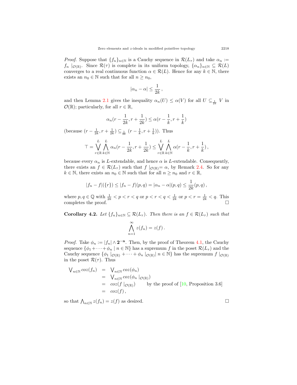*Proof.* Suppose that  $\{f_n\}_{n\in\mathbb{N}}$  is a Cauchy sequence in  $\mathcal{R}(L_\tau)$  and take  $\alpha_n :=$ *f*<sub>n</sub>  $|o(\mathbb{R})$ . Since  $\mathcal{R}(\tau)$  is complete in its uniform topology,  $\{a_n\}_{n\in\mathbb{N}} \subseteq \mathcal{R}(L)$ converges to a real continuous function  $\alpha \in \mathcal{R}(L)$ . Hence for any  $k \in \mathbb{N}$ , there exists an  $n_0 \in \mathbb{N}$  such that for all  $n \geq n_0$ ,

$$
|\alpha_n-\alpha|\leq \frac{1}{2k}\,,
$$

and then Lemma [2.1](#page-4-1) gives the inequality  $\alpha_n(U) \leq \alpha(V)$  for all  $U \subseteq \frac{1}{2k}$  *V* in  $\mathcal{O}(\mathbb{R})$ ; particularly, for all  $r \in \mathbb{R}$ ,

$$
\alpha_n(r-\frac{1}{2k},r+\frac{1}{2k})\leq \alpha(r-\frac{1}{k},r+\frac{1}{k})
$$

(because  $(r - \frac{1}{2k}, r + \frac{1}{2k}) \subseteq \frac{1}{2k} (r - \frac{1}{k}, r + \frac{1}{k})$ ). Thus

$$
\mathsf{T} = \bigvee_{r \in \mathbb{R}} \bigwedge_{k \in \mathbb{N}}^L \alpha_n (r - \frac{1}{2k}, r + \frac{1}{2k}) \leq \bigvee_{r \in \mathbb{R}}^L \bigwedge_{k \in \mathbb{N}}^L \alpha (r - \frac{1}{k}, r + \frac{1}{k}),
$$

because every  $\alpha_n$  is *L*-extendable, and hence  $\alpha$  is *L*-extendable. Consequently, there exists an  $f \in \mathcal{R}(L_{\tau})$  such that  $f |_{\mathcal{O}(\mathbb{R})} = \alpha$ , by Remark [2.4.](#page-5-1) So for any  $k \in \mathbb{N}$ , there exists an  $n_0 \in \mathbb{N}$  such that for all  $n \geq n_0$  and  $r \in \mathbb{R}$ ,

$$
|f_n - f|(\lbrace r \rbrace) \leq |f_n - f|(p, q) = |\alpha_n - \alpha|(p, q) \leq \frac{1}{2k}(p, q),
$$

where  $p, q \in \mathbb{Q}$  with  $\frac{1}{2k} < p < r < q$  or  $p < r < q < \frac{1}{2k}$  or  $p < r = \frac{1}{2k} < q$ . This completes the proof.  $\Box$ 

<span id="page-14-0"></span>**Corollary 4.2.** *Let*  $\{f_n\}_{n\in\mathbb{N}} \subseteq \mathcal{R}(L_{\tau})$ *. Then there is an*  $f \in \mathcal{R}(L_{\tau})$  *such that* 

$$
\bigwedge_{n=1}^{\infty} z(f_n) = z(f) .
$$

*Proof.* Take  $\phi_n := |f_n| \wedge 2^{-n}$ . Then, by the proof of Theorem [4.1,](#page-13-0) the Cauchy sequence  $\{\phi_1 + \cdots + \phi_n \mid n \in \mathbb{N}\}\$  has a supremum *f* in the poset  $\mathcal{R}(L_\tau)$  and the Cauchy sequence  $\{\phi_1 \mid_{\mathcal{O}(\mathbb{R})} + \cdots + \phi_n \mid_{\mathcal{O}(\mathbb{R})} \mid n \in \mathbb{N}\}$  has the supremum  $f \mid_{\mathcal{O}(\mathbb{R})}$ in the poset  $\mathcal{R}(\tau)$ . Thus

$$
\begin{array}{rcl}\n\bigvee_{n\in\mathbb{N}}\cos(f_n) & = & \bigvee_{n\in\mathbb{N}}\cos(\phi_n) \\
& = & \bigvee_{n\in\mathbb{N}}\cos(\phi_n \mid_{\mathcal{O}(\mathbb{R})}) \\
& = & \cos(f \mid_{\mathcal{O}(\mathbb{R})}) \qquad \text{by the proof of [10, Proposition 3.6]} \\
& = & \cos(f),\n\end{array}
$$

so that  $\bigwedge_{n\in\mathbb{N}}z(f_n)=z(f)$  as desired. □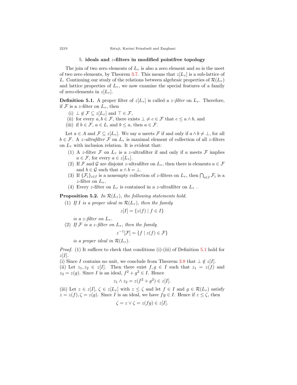#### 5. **ideals and** *z***-filters in modified pointfree topology**

The join of two zero elements of  $L_{\tau}$  is also a zero element and so is the meet of two zero elements, by Theorem [3.7.](#page-9-0) This means that  $z[L_\tau]$  is a sub-lattice of *L*. Continuing our study of the relations between algebraic properties of  $\mathcal{R}(L_{\tau})$ and lattice properties of  $L_{\tau}$ , we now examine the special features of a family of zero-elements in  $z[L_\tau]$ .

<span id="page-15-0"></span>**Definition 5.1.** A proper filter of  $z[L_{\tau}]$  is called a *z*-filter on  $L_{\tau}$ . Therefore, if *F* is a *z*-filter on  $L_{\tau}$ , then

- (i)  $\bot \notin \mathcal{F} \subseteq z[L_{\tau}]$  and  $\top \in \mathcal{F}$ ,
- (ii) for every  $a, b \in \mathcal{F}$ , there exists  $\bot \neq c \in \mathcal{F}$  that  $c \leq a \wedge b$ , and
- (iii) if  $b \in \mathcal{F}$ ,  $a \in L$ , and  $b \leq a$ , then  $a \in \mathcal{F}$ .

Let  $a \in A$  and  $\mathcal{F} \subseteq z[L_{\tau}]$ . We say  $a$  meets  $\mathcal{F}$  if and only if  $a \wedge b \neq \bot$ , for all  $b \in \mathcal{F}$ . A *z*-ultrafilter  $\mathcal F$  on  $L_{\tau}$  is maximal element of collection of all *z*-filters on  $L_{\tau}$  with inclusion relation. It is evident that:

- (1) A *z*-filter  $\mathcal F$  on  $L_{\tau}$  is a *z*-ultrafilter if and only if *a* meets  $\mathcal F$  implies  $a \in \mathcal{F}$ , for every  $a \in z[L_{\tau}]$ .
- (2) If *F* and *G* are disjoint *z*-ultrafilter on  $L_{\tau}$ , then there is elements  $a \in \mathcal{F}$ and  $b \in \mathcal{G}$  such that  $a \wedge b = \bot$ .
- (3) If  $\{\mathcal{F}_i\}_{i\in I}$  is a nonempty collection of *z*-filters on  $L_{\tau}$ , then  $\bigcap_{i\in I} \mathcal{F}_i$  is a *z*-filter on  $L_{\tau}$ .
- (4) Every *z*-filter on  $L_{\tau}$  is contained in a *z*-ultrafilter on  $L_{\tau}$ .

<span id="page-15-1"></span>**Proposition 5.2.** *In*  $\mathcal{R}(L_{\tau})$ *, the following statements hold.* 

(1) If *I* is a proper ideal in  $\mathcal{R}(L_{\tau})$ , then the family

*z*

$$
z[I] = \{z(f) \mid f \in I\}
$$

*is a z*-filter on  $L_{\tau}$ .

(2) If  $\mathcal F$  *is a z-filter on*  $L_{\tau}$ *, then the family* 

$$
^{-1}[\mathcal{F}] = \{ f \mid z(f) \in \mathcal{F} \}
$$

*is a proper ideal in*  $\mathcal{R}(L_{\tau})$ *.* 

*Proof.* (1) It suffices to check that conditions (i)-(iii) of Definition [5.1](#page-15-0) hold for *z*[*I*].

(i) Since *I* contains no unit, we conclude from Theorem [3.8](#page-11-0) that  $\perp \notin z[I]$ . (ii) Let  $z_1, z_2 \in z[I]$ . Then there exist  $f, g \in I$  such that  $z_1 = z(f)$  and  $z_2 = z(g)$ . Since *I* is an ideal,  $f^2 + g^2 \in I$ . Hence

$$
z_1 \wedge z_2 = z(f^2 + g^2) \in z[I].
$$

(iii) Let  $z \in z[I], \zeta \in z[L_{\tau}]$  with  $z \leq \zeta$  and let  $f \in I$  and  $g \in \mathcal{R}(L_{\tau})$  satisfy  $z = z(f), \zeta = z(g)$ . Since *I* is an ideal, we have  $fg \in I$ . Hence if  $z \leq \zeta$ , then

$$
\zeta = z \vee \zeta = z(fg) \in z[I].
$$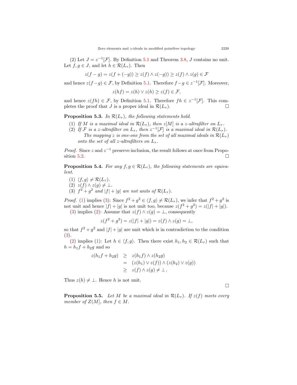(2) Let  $J = z^{-1}[\mathcal{F}]$ . By Definition [5.1](#page-15-0) and Theorem [3.8](#page-11-0), *J* contains no unit. Let  $f, g \in J$ , and let  $h \in \mathcal{R}(L_{\tau})$ . Then

$$
z(f-g) = z(f + (-g)) \ge z(f) \land z(-g)) \ge z(f) \land z(g) \in \mathcal{F}
$$

and hence  $z(f-g) \in \mathcal{F}$ , by Definition [5.1](#page-15-0). Therefore  $f-g \in z^{-1}[\mathcal{F}]$ . Moreover,

$$
z(hf) = z(h) \lor z(h) \ge z(f) \in \mathcal{F},
$$

and hence  $z(fh) \in \mathcal{F}$ , by Definition [5.1](#page-15-0). Therefore  $fh \in z^{-1}[\mathcal{F}]$ . This completes the proof that *J* is a proper ideal in  $\mathcal{R}(L_{\tau})$ .

<span id="page-16-3"></span>**Proposition 5.3.** In  $\mathcal{R}(L_{\tau})$ , the following statements hold.

- <span id="page-16-4"></span>(1) If *M* is a maximal ideal in  $\mathcal{R}(L_{\tau})$ , then  $z[M]$  is a *z*-ultrafilter on  $L_{\tau}$ .
- (2) If  $\mathcal{F}$  is a *z*-ultrafilter on  $L_{\tau}$ , then  $z^{-1}[\mathcal{F}]$  is a maximal ideal in  $\mathcal{R}(L_{\tau})$ . *The mapping z is one-one from the set of all maximal ideals in*  $R(L_{\tau})$ *onto the set of all z-ultrafilters on*  $L_{\tau}$ *.*

*Proof.* Since *z* and  $z^{-1}$  preserve inclusion, the result follows at once from Propo-sition [5.2](#page-15-1).  $\Box$ 

**Proposition 5.4.** *For any*  $f, g \in \mathcal{R}(L_{\tau})$ , the following statements are equiva*lent.*

- <span id="page-16-0"></span> $(1)$   $\langle f, g \rangle \neq \mathcal{R}(L_{\tau}).$
- <span id="page-16-2"></span> $(2)$   $z(f) \wedge z(g) \neq \bot$ .
- <span id="page-16-1"></span>(3)  $f^2 + g^2$  and  $|f| + |g|$  are not units of  $\mathcal{R}(L_\tau)$ .

*Proof.* [\(1](#page-16-0)) implies ([3\)](#page-16-1): Since  $f^2 + g^2 \in \langle f, g \rangle \neq \mathcal{R}(L_{\tau})$ , we infer that  $f^2 + g^2$  is not unit and hence  $|f| + |g|$  is not unit too, because  $z(f^2 + g^2) = z(|f| + |g|)$ . ([3\)](#page-16-1) implies ([2\)](#page-16-2): Assume that  $z(f) \wedge z(g) = \bot$ , consequently

 $z(f^2 + g^2) = z(|f| + |g|) = z(f) \wedge z(g) = \perp$ ,

so that  $f^2 + g^2$  and  $|f| + |g|$  are unit which is in contradiction to the condition ([3\)](#page-16-1).

([2\)](#page-16-2) implies ([1\)](#page-16-0): Let  $h \in \langle f, g \rangle$ . Then there exist  $h_1, h_2 \in \mathcal{R}(L_\tau)$  such that  $h = h_1 f + h_2 g$  and so

$$
z(h_1 f + h_2 g) \geq z(h_1 f) \wedge z(h_2 g)
$$
  
= 
$$
(z(h_1) \vee z(f)) \wedge (z(h_2) \vee z(g))
$$
  

$$
\geq z(f) \wedge z(g) \neq \bot.
$$

Thus  $z(h) \neq \bot$ . Hence *h* is not unit.

□

**Proposition 5.5.** *Let M be a maximal ideal in*  $\mathcal{R}(L_{\tau})$ *. If*  $z(f)$  *meets every member of*  $Z(M)$ *, then*  $f \in M$ *.*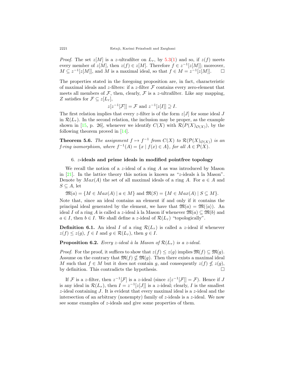*Proof.* The set  $z[M]$  is a *z*-ultrafilter on  $L_7$ , by [5.3](#page-16-3)[\(1](#page-16-4)) and so, if  $z(f)$  meets every member of  $z[M]$ , then  $z(f) \in z[M]$ . Therefore  $f \in z^{-1}[z[M]]$ ; moreover,  $M \subseteq z^{-1}[z[M]]$ , and  $M$  is a maximal ideal, so that  $f \in M = z^{-1}[z[M]]$ . □

The properties stated in the foregoing proposition are, in fact, characteristic of maximal ideals and *z*-filters: if a *z*-filter *F* contains every zero-element that meets all members of  $\mathcal F$ , then, clearly,  $\mathcal F$  is a *z*-ultrafilter. Like any mapping, *Z* satisfies for  $\mathcal{F} \subseteq z[L_{\tau}],$ 

$$
z[z^{-1}[\mathcal{F}]] = \mathcal{F} \text{ and } z^{-1}[z[I]] \supseteq I.
$$

The first relation implies that every *z*-filter is of the form  $z[J]$  for some ideal *J* in  $\mathcal{R}(L_{\tau})$ . In the second relation, the inclusion may be proper, as the example shown in [[15,](#page-21-22) p. 26], whenever we identify  $C(X)$  with  $\mathcal{R}(P(X)_{\mathcal{O}(X)})$ , by the following theorem proved in [[14\]](#page-21-8).

<span id="page-17-0"></span>**Theorem 5.6.** *The assignment*  $f \mapsto f^{-1}$  *from*  $C(X)$  *to*  $\mathcal{R}(\mathcal{P}(X)_{\mathcal{O}(X)})$  *is an f-ring isomorphism, where*  $f^{-1}(A) = \{x \mid f(x) \in A\}$ *, for all*  $A \in \mathcal{P}(X)$ *.* 

### 6. *z***-ideals and prime ideals in modified pointfree topology**

We recall the notion of a *z*-ideal of a ring *A* as was introduced by Mason in [\[21](#page-21-11)]. In the lattice theory this notion is known as "*z*-ideals à la Mason". Denote by  $Max(A)$  the set of all maximal ideals of a ring *A*. For  $a \in A$  and  $S \subseteq A$ , let

 $\mathfrak{M}(a) = \{ M \in Max(A) \mid a \in M \}$  and  $\mathfrak{M}(S) = \{ M \in Max(A) \mid S \subseteq M \}$ .

Note that, since an ideal contains an element if and only if it contains the principal ideal generated by the element, we have that  $\mathfrak{M}(a) = \mathfrak{M}(\langle a \rangle)$ . An ideal *I* of a ring *A* is called a *z*-ideal à la Mason if whenever  $\mathfrak{M}(a) \subseteq \mathfrak{M}(b)$  and  $a \in I$ , then  $b \in I$ . We shall define a *z*-ideal of  $\mathcal{R}(L_{\tau})$  "topologically".

**Definition 6.1.** An ideal *I* of a ring  $\mathcal{R}(L_{\tau})$  is called a *z*-ideal if whenever  $z(f) \leq z(g)$ ,  $f \in I$  and  $g \in \mathcal{R}(L_{\tau})$ , then  $g \in I$ .

**Proposition 6.2.** *Every z-ideal à la Mason of*  $\mathcal{R}(L_{\tau})$  *is a z-ideal.* 

*Proof.* For the proof, it suffices to show that  $z(f) \leq z(g)$  implies  $\mathfrak{M}(f) \subseteq \mathfrak{M}(g)$ . Assume on the contrary that  $\mathfrak{M}(f) \nsubseteq \mathfrak{M}(q)$ . Then there exists a maximal ideal *M* such that  $f \in M$  but it does not contain *g*, and consequently  $z(f) \nleq z(g)$ , by definition. This contradicts the hypothesis.  $\Box$ 

If *F* is a *z*-filter, then  $z^{-1}[\mathcal{F}]$  is a *z*-ideal (since  $z[z^{-1}[\mathcal{F}]]=\mathcal{F}$ ). Hence if *J* is any ideal in  $\mathcal{R}(L_{\tau})$ , then  $I = z^{-1}[z[J]]$  is a *z*-ideal; clearly, *I* is the smallest *z*-ideal containing *J*. It is evident that every maximal ideal is a *z*-ideal and the intersection of an arbitrary (nonempty) family of *z*-ideals is a *z*-ideal. We now see some examples of *z*-ideals and give some properties of them.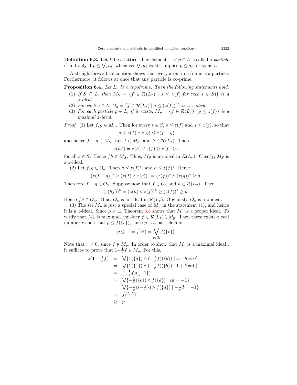**Definition 6.3.** Let *L* be a lattice. The element  $\bot < p \in L$  is called a *particle* if and only if  $p \leq \bigvee_i a_i$ , whenever  $\bigvee_i a_i$  exists, implies  $p \leq a_i$  for some *i*.

A straightforward calculation shows that every atom in a frame is a particle. Furthermore, it follows at once that any particle is co-prime.

**Proposition 6.4.** *Let*  $L_{\tau}$  *be a topoframe. Then the following statements hold.* 

- <span id="page-18-0"></span>(1) If  $S \subseteq L$ , then  $M_S = \{f \in \mathcal{R}(L_{\tau}) \mid s \leq z(f) \text{ for each } s \in S\}$  is a *z-ideal.*
- (2) *For each*  $a \in L$ *,*  $O_a = \{f \in \mathcal{R}(L_{\tau}) \mid a \leq (z(f))^{\circ}\}\$ is a *z*-ideal.
- (3) For each particle  $p \in L$ , if it exists,  $M_p = \{f \in \mathcal{R}(L_\tau) \mid p \leq z(f)\}\$ is a *maximal z-ideal.*

*Proof.* (1) Let  $f, g \in M_S$ . Then for every  $s \in S$ ,  $s \leq z(f)$  and  $s \leq z(g)$ , so that

$$
s \leq z(f) \land z(g) \leq z(f - g)
$$

and hence  $f - g \in M_S$ . Let  $f \in M_S$ , and  $h \in \mathcal{R}(L_\tau)$ . Then

$$
z(hf) = z(h) \lor z(f) \ge z(f) \ge s
$$

for all  $s \in S$ . Hence  $fh \in M_S$ . Thus,  $M_S$  is an ideal in  $\mathcal{R}(L_\tau)$ . Clearly,  $M_S$  is a *z*-ideal.

(2) Let  $f, g \in O_a$ . Then  $a \leq z(f)^\circ$ , and  $a \leq z(f)^\circ$ . Hence

$$
(z(f-g))^{\circ} \geq (z(f) \wedge z(g))^{\circ} = (z(f))^{\circ} \wedge (z(g))^{\circ} \geq a.
$$

Therefore  $f - g \in O_a$ . Suppose now that  $f \in O_a$  and  $h \in \mathcal{R}(L_\tau)$ . Then

$$
(z(hf))o = (z(h) \vee z(f))o \geq (z(f))o \geq a.
$$

Hence  $fh \in O_a$ . Thus,  $O_a$  is an ideal in  $\mathcal{R}(L_\tau)$ . Obviously,  $O_a$  is a *z*-ideal.

(3) The set  $M_p$  is just a special case of  $M_S$  in the statement  $(1)$  $(1)$ , and hence it is a *z*-ideal. Since  $p \neq \bot$ , Theorem [3.8](#page-11-0) shows that  $M_p$  is a proper ideal. To verify that  $M_p$  is maximal, consider  $f \in \mathcal{R}(L_\tau) \setminus M_p$ . Then there exists a real number *r* such that  $p \leq f({r})$ , since *p* is a particle and

$$
p \leq \top = f(\mathbb{R}) = \bigvee_{r \in \mathbb{R}} f(\{r\}).
$$

Note that  $r \neq 0$ , since  $f \notin M_p$ . In order to show that  $M_p$  is a maximal ideal, it suffices to prove that  $1-\frac{1}{r}f \in M_p$ . For this,

$$
z(1 - \frac{1}{r}f) = \sqrt{\{1(\{a\}) \wedge (-\frac{1}{r}f)(\{b\}) \mid a + b = 0\}}
$$
  
\n
$$
= \sqrt{\{1(\{1\}) \wedge (-\frac{1}{r}f)(\{b\}) \mid 1 + b = 0\}}
$$
  
\n
$$
= (-\frac{1}{r}f)(\{-1\})
$$
  
\n
$$
= \sqrt{\{-\frac{1}{r}(\{c\}) \wedge f(\{d\}) \mid cd = -1\}}
$$
  
\n
$$
= \sqrt{\{-\frac{1}{r}(\{-\frac{1}{r}\}) \wedge f(\{d\}) \mid -\frac{1}{r}d = -1\}}
$$
  
\n
$$
= f(\{r\})
$$
  
\n
$$
\geq p.
$$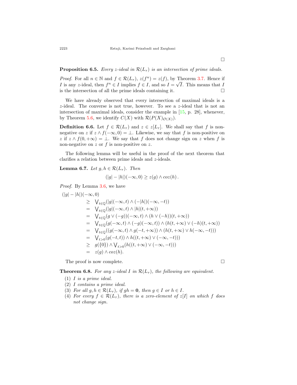## **Proposition 6.5.** *Every z-ideal in*  $\mathcal{R}(L_{\tau})$  *is an intersection of prime ideals.*

*Proof.* For all  $n \in \mathbb{N}$  and  $f \in \mathcal{R}(L_{\tau})$ ,  $z(f^n) = z(f)$ , by Theorem [3.7.](#page-9-0) Hence if *I* is any *z*-ideal, then  $f^n \in I$  implies  $f \in I$ , and so  $I = \sqrt{I}$ . This means that *I* is the intersection of all the prime ideals containing it.  $\Box$ 

We have already observed that every intersection of maximal ideals is a *z*-ideal. The converse is not true, however. To see a *z*-ideal that is not an intersection of maximal ideals, consider the example in [[15,](#page-21-22) p. 28], whenever, by Theorem [5.6,](#page-17-0) we identify  $C(X)$  with  $\mathcal{R}(P(X)_{\mathcal{O}(X)})$ .

**Definition 6.6.** Let  $f \in \mathcal{R}(L_{\tau})$  and  $z \in z[L_{\tau}]$ . We shall say that *f* is nonnegative on *z* if  $z \wedge f(-\infty, 0) = \bot$ . Likewise, we say that *f* is non-positive on *z* if  $z \wedge f(0, +\infty) = \bot$ . We say that *f* does not change sign on *z* when *f* is non-negative on *z* or *f* is non-positive on *z*.

The following lemma will be useful in the proof of the next theorem that clarifies a relation between prime ideals and *z*-ideals.

<span id="page-19-5"></span>**Lemma 6.7.** *Let*  $g, h \in \mathcal{R}(L_{\tau})$ *. Then* 

$$
(|g|-|h|)(-\infty,0) \geq z(g) \wedge \cos(h).
$$

*Proof.* By Lemma [3.6](#page-7-9), we have

$$
\begin{array}{rcl}\n(|g|-|h|)(-\infty,0) & \geq & \bigvee_{t\in\mathbb{Q}}(|g|(-\infty,t)\wedge(-|h|)(-\infty,-t)) \\
& = & \bigvee_{t\in\mathbb{Q}}(|g|(-\infty,t)\wedge|h|(t,+\infty)) \\
& = & \bigvee_{t\in\mathbb{Q}}(g\vee(-g))(-\infty,t)\wedge(h\vee(-h))(t,+\infty)) \\
& = & \bigvee_{t\in\mathbb{Q}}(g(-\infty,t)\wedge(-g)(-\infty,t))\wedge(h(t,+\infty)\vee(-h)(t,+\infty)) \\
& = & \bigvee_{t\in\mathbb{Q}}((g(-\infty,t)\wedge g(-t,+\infty))\wedge(h(t,+\infty)\vee h(-\infty,-t))) \\
& = & \bigvee_{t>0}(g(-t,t))\wedge h((t,+\infty)\vee(-\infty,-t))) \\
& \geq & g(\{0\})\wedge\bigvee_{t>0}(h((t,+\infty)\vee(-\infty,-t))) \\
& = & z(g)\wedge coz(h).\n\end{array}
$$

The proof is now complete.  $\Box$ 

<span id="page-19-0"></span>**Theorem 6.8.** For any *z*-ideal *I* in  $\mathcal{R}(L_{\tau})$ , the following are equivalent.

- <span id="page-19-1"></span>(1) *I is a prime ideal.*
- <span id="page-19-2"></span>(2) *I contains a prime ideal.*
- <span id="page-19-3"></span>(3) *For all*  $g, h \in \mathcal{R}(L_{\tau})$ *, if*  $gh = 0$ *, then*  $g \in I$  *or*  $h \in I$ *.*
- <span id="page-19-4"></span>(4) *For every*  $f \in \mathcal{R}(L_{\tau})$ *, there is a zero-element of*  $z[I]$  *on which*  $f$  *does not change sign.*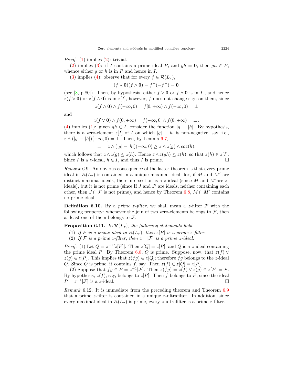*Proof.* [\(1](#page-19-1)) implies ([2](#page-19-2)): trivial.

([2\)](#page-19-2) implies [\(3](#page-19-3)): if *I* contains a prime ideal *P*, and  $qh = 0$ , then  $qh \in P$ , whence either  $g$  or  $h$  is in  $P$  and hence in  $I$ .

([3\)](#page-19-3) implies ([4\)](#page-19-4): observe that for every  $f \in \mathcal{R}(L_{\tau}),$ 

 $(f \vee \mathbf{0})(f \wedge \mathbf{0}) = f^{+}(-f^{-}) = \mathbf{0}$ 

(see [\[8](#page-21-6), p.80]). Then, by hypothesis, either  $f \vee \mathbf{0}$  or  $f \wedge \mathbf{0}$  is in *I*, and hence  $z(f \vee 0)$  or  $z(f \wedge 0)$  is in *z*[*I*], however, *f* does not change sign on them, since

$$
z(f \wedge \mathbf{0}) \wedge f(-\infty, 0) = f[0, +\infty) \wedge f(-\infty, 0) = \bot
$$

and

$$
z(f \vee \mathbf{0}) \wedge f(0, +\infty) = f(-\infty, 0] \wedge f(0, +\infty) = \bot.
$$

([4\)](#page-19-4) implies ([1\)](#page-19-1): given  $gh \in I$ , consider the function  $|g| - |h|$ . By hypothesis, there is a zero-element  $z[I]$  of *I* on which  $|g| - |h|$  is non-negative, say, i.e.,  $z \wedge (|g| - |h|)(-\infty, 0) = \perp$ . Then, by Lemma [6.7](#page-19-5),

*⊥* =  $z \wedge (|g| - |h|)(-\infty, 0) \geq z \wedge z(g) \wedge cos(h),$ 

which follows that  $z \wedge z(g) \leq z(h)$ . Hence  $z \wedge z(gh) \leq z(h)$ , so that  $z(h) \in z[I]$ . Since *I* is a *z*-ideal,  $h \in I$ , and thus *I* is prime. □

<span id="page-20-0"></span>*Remark* 6.9*.* An obvious consequence of the latter theorem is that every prime ideal in  $\mathcal{R}(L_{\tau})$  is contained in a unique maximal ideal; for, if M and M' are distinct maximal ideals, their intersection is a *z*-ideal (since *M* and *M′*are *z*ideals), but it is not prime (since If *J* and *J ′* are ideals, neither containing each other, then  $J \cap J'$  is not prime), and hence by Theorem [6.8,](#page-19-0)  $M \cap M'$  contains no prime ideal.

**Definition 6.10.** By a *prime z-filter*, we shall mean a *z*-filter  $\mathcal F$  with the following property: whenever the join of two zero-elements belongs to  $\mathcal{F}$ , then at least one of them belongs to *F*.

**Proposition 6.11.** *In*  $\mathcal{R}(L_{\tau})$ *, the following statements hold.* 

(1) If P is a prime ideal in  $\mathcal{R}(L_{\tau})$ , then  $z[P]$  is a prime  $z$ -filter.

(2) If  $\mathcal F$  is a prime *z*-filter, then  $z^{-1}[\mathcal F]$  is a prime *z*-ideal.

*Proof.* (1) Let  $Q = z^{-1}[z|P]$ . Then  $z[Q] = z[P]$ , and  $Q$  is a *z*-ideal containing the prime ideal *P*. By Theorem [6.8,](#page-19-0) *Q* is prime. Suppose, now, that  $z(f)$   $\vee$  $z(g) \in z[P]$ . This implies that  $z(fg) \in z[Q]$ ; therefore *fg* belongs to the *z*-ideal *Q*. Since *Q* is prime, it contains *f*, say. Then  $z(f) \in z[Q] = z[P]$ .

(2) Suppose that  $fg \in P = z^{-1}[\mathcal{F}]$ . Then  $z(fg) = z(f) \vee z(g) \in z[P] = \mathcal{F}$ . By hypothesis,  $z(f)$ , say, belongs to  $z[P]$ . Then *f* belongs to *P*, since the ideal  $P = z^{-1}[\mathcal{F}]$  is a *z*-ideal. □

*Remark* 6.12*.* It is immediate from the preceding theorem and Theorem [6.9](#page-20-0) that a prime *z*-filter is contained in a unique *z*-ultrafilter. In addition, since every maximal ideal in  $\mathcal{R}(L_{\tau})$  is prime, every *z*-ultrafilter is a prime *z*-filter.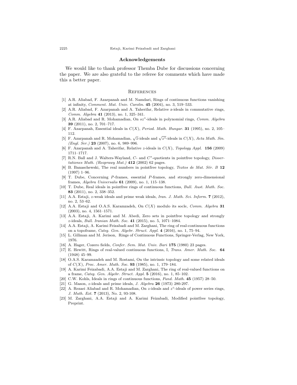#### **Acknowledgements**

We would like to thank professor Themba Dube for discussions concerning the paper. We are also grateful to the referee for comments which have made this a better paper.

#### **REFERENCES**

- <span id="page-21-1"></span>[1] A.R. Aliabad, F. Azarpanah and M. Namdari, Rings of continuous functions vanishing at infinity, *Comment. Mat. Univ. Carolin.* **45** (2004), no. 3, 519–533.
- <span id="page-21-12"></span>[2] A.R. Aliabad, F. Azarpanah and A. Taherifar, Relative z-ideals in commutative rings, *Comm. Algebra* **41** (2013), no. 1, 325–341.
- <span id="page-21-13"></span>[3] A.R. Aliabad and R. Mohamadian, On *sz◦*-ideals in polynomial rings, *Comm. Algebra* **39** (2011), no. 2, 701–717.
- <span id="page-21-2"></span>[4] F. Azarpanah, Essential ideals in *C*(*X*), *Period. Math. Hungar.* **31** (1995), no. 2, 105– 112.
- <span id="page-21-14"></span>[5] F. Azarpanah and R. Mohamadian, *√ <sup>z</sup>*-ideals and *<sup>√</sup> z ◦*-ideals in *C*(*X*), *Acta Math. Sin. (Engl. Ser.)* **23** (2007), no. 6, 989–996.
- <span id="page-21-15"></span>[6] F. Azarpanah and A. Taherifar, Relative *z*-ideals in *C*(*X*), *Topology Appl.* **156** (2009) 1711–1717.
- <span id="page-21-19"></span>[7] R.N. Ball and J. Walters-Wayland, *C*- and *C∗*-quotients in pointfree topology, *Dissertationes Math. (Rozprawy Mat.)* **412** (2002) 62 pages.
- <span id="page-21-6"></span>[8] B. Banaschewski, The real numbers in pointfree topology, *Textos de Mat. Sér. B* 12 (1997) 1–96.
- <span id="page-21-18"></span>[9] T. Dube, Concerning *P*-frames, essential *P*-frames, and strongly zero-dimensional frames, *Algebra Universalis* **61** (2009), no. 1, 115–138.
- <span id="page-21-21"></span>[10] T. Dube, Real ideals in pointfree rings of continuous functions, *Bull. Aust. Math. Soc.* **83** (2011), no. 2, 338–352.
- <span id="page-21-16"></span>[11] A.A. Estaji, *z*-weak ideals and prime weak ideals, *Iran. J. Math. Sci. Inform.* **7** (2012), no. 2, 53–62.
- <span id="page-21-3"></span>[12] A.A. Estaji and O.A.S. Karamzadeh, On *C*(*X*) modulo its socle, *Comm. Algebra* **31** (2003), no. 4, 1561–1571.
- <span id="page-21-7"></span>[13] A.A. Estaji, A. Karimi and M. Abedi, Zero sets in pointfree topology and strongly *z*-ideals, *Bull. Iranian Math. Soc.* **41** (2015), no. 5, 1071–1084.
- <span id="page-21-8"></span>[14] A.A. Estaji, A. Karimi Feizabadi and M. Zarghani, The ring of real-continuous functions on a topoframe, *Categ. Gen. Algebr. Struct. Appl.* **4** (2016), no. 1, 75–94.
- <span id="page-21-22"></span>[15] L. Gillman and M. Jerison, Rings of Continuous Functions, Springer-Verlag, New York, 1976.
- <span id="page-21-4"></span>[16] A. Hager, Cozero fields, *Confer. Sem. Mat. Univ. Bari* **175** (1980) 23 pages.
- <span id="page-21-0"></span>[17] E. Hewitt, Rings of real-valued continuous functions, I, *Trans. Amer. Math. Soc.* **64** (1948) 45–99.
- <span id="page-21-5"></span>[18] O.A.S. Karamzadeh and M. Rostami, On the intrinsic topology and some related ideals of *C*(*X*), *Proc. Amer. Math. Soc.* **93** (1985), no. 1, 179–184.
- <span id="page-21-9"></span>[19] A. Karimi Feizabadi, A.A. Estaji and M. Zarghani, The ring of real-valued functions on a frame, *Categ. Gen. Algebr. Struct. Appl.* **5** (2016), no. 1, 85–102.
- <span id="page-21-10"></span>[20] C.W. Kohls, Ideals in rings of continuous functions, *Fund. Math.* **45** (1957) 28–50.
- <span id="page-21-11"></span>[21] G. Mason, *z*-ideals and prime ideals, *J. Algebra* **26** (1973) 280-297.
- <span id="page-21-17"></span>[22] A. Rezaei Aliabad and R. Mohamadian, On *z*-ideals and *z ◦*-ideals of power series rings, *J. Math. Ext.* **7** (2013), No. 2, 93-108.
- <span id="page-21-20"></span>[23] M. Zarghani, A.A. Estaji and A. Karimi Feizabadi, Modified pointfree topology, Preprint.